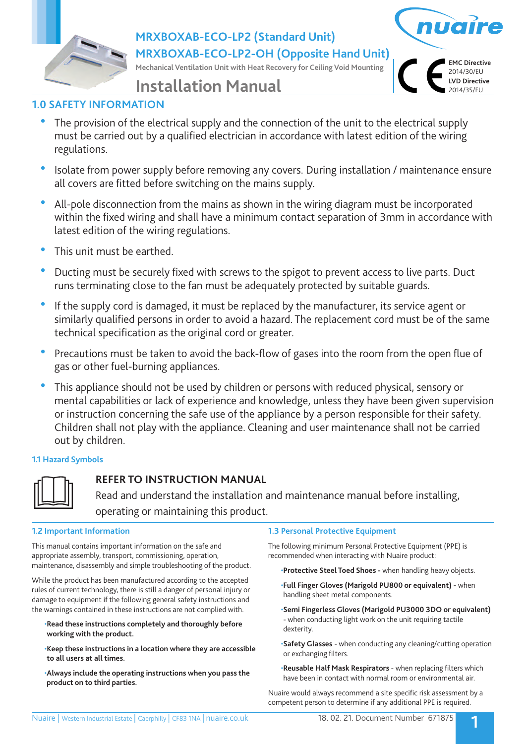**MRXBOXAB-ECO-LP2 (Standard Unit)**

**MRXBOXAB-ECO-LP2-OH (Opposite Hand Unit)**

**Mechanical Ventilation Unit with Heat Recovery for Ceiling Void Mounting**



**Installation Manual**

# **1.0 SAFETY INFORMATION**

- The provision of the electrical supply and the connection of the unit to the electrical supply must be carried out by a qualified electrician in accordance with latest edition of the wiring regulations.
- Isolate from power supply before removing any covers. During installation / maintenance ensure all covers are fitted before switching on the mains supply.
- All-pole disconnection from the mains as shown in the wiring diagram must be incorporated within the fixed wiring and shall have a minimum contact separation of 3mm in accordance with latest edition of the wiring regulations.
- This unit must be earthed.
- Ducting must be securely fixed with screws to the spigot to prevent access to live parts. Duct runs terminating close to the fan must be adequately protected by suitable guards.
- If the supply cord is damaged, it must be replaced by the manufacturer, its service agent or similarly qualified persons in order to avoid a hazard. The replacement cord must be of the same technical specification as the original cord or greater.
- Precautions must be taken to avoid the back-flow of gases into the room from the open flue of gas or other fuel-burning appliances.
- This appliance should not be used by children or persons with reduced physical, sensory or mental capabilities or lack of experience and knowledge, unless they have been given supervision or instruction concerning the safe use of the appliance by a person responsible for their safety. Children shall not play with the appliance. Cleaning and user maintenance shall not be carried out by children.

## **1.1 Hazard Symbols**



# **REFER TO INSTRUCTION MANUAL**

 Read and understand the installation and maintenance manual before installing, operating or maintaining this product.

## **1.2 Important Information**

This manual contains important information on the safe and appropriate assembly, transport, commissioning, operation, maintenance, disassembly and simple troubleshooting of the product.

While the product has been manufactured according to the accepted rules of current technology, there is still a danger of personal injury or damage to equipment if the following general safety instructions and the warnings contained in these instructions are not complied with.

- •**Read these instructions completely and thoroughly before working with the product.**
- •**Keep these instructions in a location where they are accessible to all users at all times.**
- •**Always include the operating instructions when you pass the product on to third parties.**

## **1.3 Personal Protective Equipment**

The following minimum Personal Protective Equipment (PPE) is recommended when interacting with Nuaire product:

•**Protective Steel Toed Shoes -** when handling heavy objects.

- •**Full Finger Gloves (Marigold PU800 or equivalent)** when handling sheet metal components.
- •**Semi Fingerless Gloves (Marigold PU3000 3DO or equivalent)**  - when conducting light work on the unit requiring tactile dexterity.
- •**Safety Glasses** when conducting any cleaning/cutting operation or exchanging filters.
- •**Reusable Half Mask Respirators**  when replacing filters which have been in contact with normal room or environmental air.

Nuaire would always recommend a site specific risk assessment by a competent person to determine if any additional PPE is required.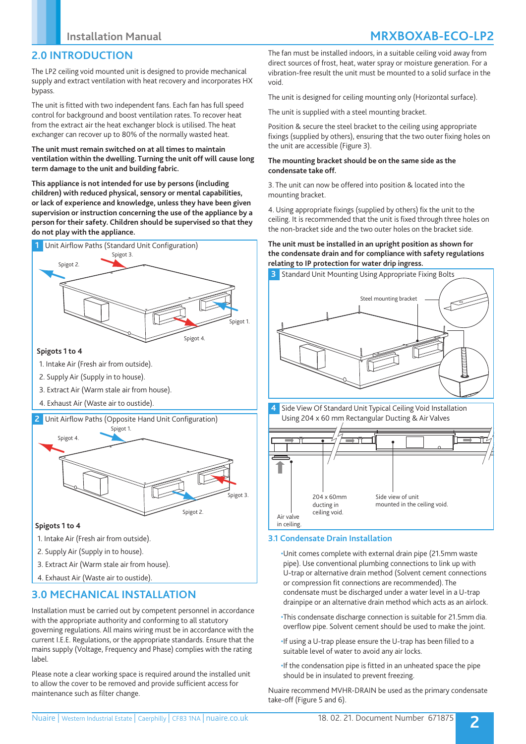# **2.0 INTRODUCTION**

The LP2 ceiling void mounted unit is designed to provide mechanical supply and extract ventilation with heat recovery and incorporates HX bypass.

The unit is fitted with two independent fans. Each fan has full speed control for background and boost ventilation rates. To recover heat from the extract air the heat exchanger block is utilised. The heat exchanger can recover up to 80% of the normally wasted heat.

### **The unit must remain switched on at all times to maintain ventilation within the dwelling. Turning the unit off will cause long term damage to the unit and building fabric.**

**This appliance is not intended for use by persons (including children) with reduced physical, sensory or mental capabilities, or lack of experience and knowledge, unless they have been given supervision or instruction concerning the use of the appliance by a person for their safety. Children should be supervised so that they do not play with the appliance.**



### **Spigots 1 to 4**

- 1. Intake Air (Fresh air from outside).
- 2. Supply Air (Supply in to house).
- 3. Extract Air (Warm stale air from house).
- 4. Exhaust Air (Waste air to oustide).

### **2** Unit Airflow Paths (Opposite Hand Unit Configuration)



### **Spigots 1 to 4**

- 1. Intake Air (Fresh air from outside).
- 2. Supply Air (Supply in to house).
- 3. Extract Air (Warm stale air from house).
- 4. Exhaust Air (Waste air to oustide).

# **3.0 MECHANICAL INSTALLATION**

Installation must be carried out by competent personnel in accordance with the appropriate authority and conforming to all statutory governing regulations. All mains wiring must be in accordance with the current I.E.E. Regulations, or the appropriate standards. Ensure that the mains supply (Voltage, Frequency and Phase) complies with the rating label.

Please note a clear working space is required around the installed unit to allow the cover to be removed and provide sufficient access for maintenance such as filter change.

The fan must be installed indoors, in a suitable ceiling void away from direct sources of frost, heat, water spray or moisture generation. For a vibration-free result the unit must be mounted to a solid surface in the void.

The unit is designed for ceiling mounting only (Horizontal surface).

The unit is supplied with a steel mounting bracket.

Position & secure the steel bracket to the ceiling using appropriate fixings (supplied by others), ensuring that the two outer fixing holes on the unit are accessible (Figure 3).

### **The mounting bracket should be on the same side as the condensate take off.**

3. The unit can now be offered into position & located into the mounting bracket.

4. Using appropriate fixings (supplied by others) fix the unit to the ceiling. It is recommended that the unit is fixed through three holes on the non-bracket side and the two outer holes on the bracket side.

### **The unit must be installed in an upright position as shown for the condensate drain and for compliance with safety regulations relating to IP protection for water drip ingress.**





## **3.1 Condensate Drain Installation**

•Unit comes complete with external drain pipe (21.5mm waste pipe). Use conventional plumbing connections to link up with U-trap or alternative drain method (Solvent cement connections or compression fit connections are recommended). The condensate must be discharged under a water level in a U-trap drainpipe or an alternative drain method which acts as an airlock.

- •This condensate discharge connection is suitable for 21.5mm dia. overflow pipe. Solvent cement should be used to make the joint.
- •If using a U-trap please ensure the U-trap has been filled to a suitable level of water to avoid any air locks.
- •If the condensation pipe is fitted in an unheated space the pipe should be in insulated to prevent freezing.

Nuaire recommend MVHR-DRAIN be used as the primary condensate take-off (Figure 5 and 6).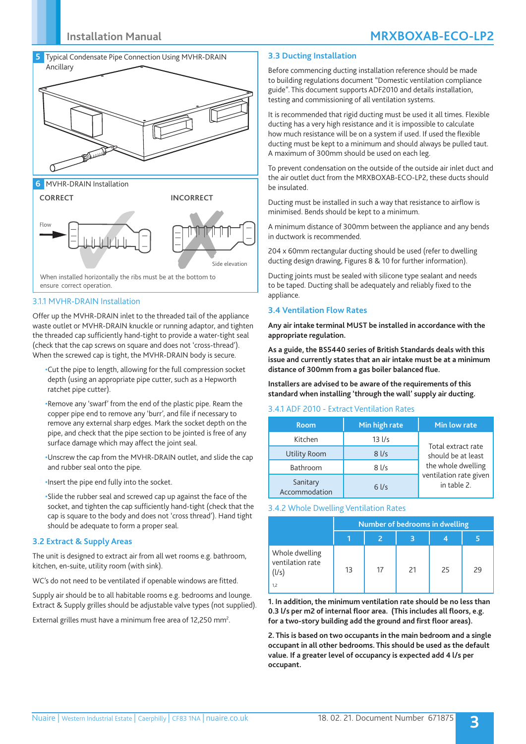

**6** MVHR-DRAIN Installation



### 3.1.1 MVHR-DRAIN Installation

Offer up the MVHR-DRAIN inlet to the threaded tail of the appliance waste outlet or MVHR-DRAIN knuckle or running adaptor, and tighten the threaded cap sufficiently hand-tight to provide a water-tight seal (check that the cap screws on square and does not 'cross-thread'). When the screwed cap is tight, the MVHR-DRAIN body is secure.

- •Cut the pipe to length, allowing for the full compression socket depth (using an appropriate pipe cutter, such as a Hepworth ratchet pipe cutter).
- •Remove any 'swarf' from the end of the plastic pipe. Ream the copper pipe end to remove any 'burr', and file if necessary to remove any external sharp edges. Mark the socket depth on the pipe, and check that the pipe section to be jointed is free of any surface damage which may affect the joint seal.
- •Unscrew the cap from the MVHR-DRAIN outlet, and slide the cap and rubber seal onto the pipe.
- •Insert the pipe end fully into the socket.
- •Slide the rubber seal and screwed cap up against the face of the socket, and tighten the cap sufficiently hand-tight (check that the cap is square to the body and does not 'cross thread'). Hand tight should be adequate to form a proper seal.

### **3.2 Extract & Supply Areas**

The unit is designed to extract air from all wet rooms e.g. bathroom, kitchen, en-suite, utility room (with sink).

WC's do not need to be ventilated if openable windows are fitted.

Supply air should be to all habitable rooms e.g. bedrooms and lounge. Extract & Supply grilles should be adjustable valve types (not supplied).

External grilles must have a minimum free area of 12,250 mm<sup>2</sup>.

### **3.3 Ducting Installation**

Before commencing ducting installation reference should be made to building regulations document "Domestic ventilation compliance guide". This document supports ADF2010 and details installation, testing and commissioning of all ventilation systems.

It is recommended that rigid ducting must be used it all times. Flexible ducting has a very high resistance and it is impossible to calculate how much resistance will be on a system if used. If used the flexible ducting must be kept to a minimum and should always be pulled taut. A maximum of 300mm should be used on each leg.

To prevent condensation on the outside of the outside air inlet duct and the air outlet duct from the MRXBOXAB-ECO-LP2, these ducts should be insulated.

Ducting must be installed in such a way that resistance to airflow is minimised. Bends should be kept to a minimum.

A minimum distance of 300mm between the appliance and any bends in ductwork is recommended.

204 x 60mm rectangular ducting should be used (refer to dwelling ducting design drawing, Figures 8 & 10 for further information).

Ducting joints must be sealed with silicone type sealant and needs to be taped. Ducting shall be adequately and reliably fixed to the appliance.

#### **3.4 Ventilation Flow Rates**

**Any air intake terminal MUST be installed in accordance with the appropriate regulation.**

**As a guide, the BS5440 series of British Standards deals with this issue and currently states that an air intake must be at a minimum distance of 300mm from a gas boiler balanced flue.**

**Installers are advised to be aware of the requirements of this standard when installing 'through the wall' supply air ducting.**

### 3.4.1 ADF 2010 - Extract Ventilation Rates

| <b>Room</b>               | Min high rate     | Min low rate                             |  |  |
|---------------------------|-------------------|------------------------------------------|--|--|
| Kitchen                   | $13$ $1/s$        | Total extract rate<br>should be at least |  |  |
| Utility Room              | $8$ I/s           |                                          |  |  |
| Bathroom                  | $8$ $\frac{1}{s}$ | the whole dwelling                       |  |  |
| Sanitary<br>Accommodation | $6$ I/s           | ventilation rate given<br>in table 2.    |  |  |

#### 3.4.2 Whole Dwelling Ventilation Rates

|                                                    | Number of bedrooms in dwelling |    |    |    |    |  |
|----------------------------------------------------|--------------------------------|----|----|----|----|--|
|                                                    |                                |    |    |    |    |  |
| Whole dwelling<br>ventilation rate<br>(l/s)<br>1,2 | 13                             | 17 | 21 | 25 | 29 |  |

**1. In addition, the minimum ventilation rate should be no less than 0.3 l/s per m2 of internal floor area. (This includes all floors, e.g. for a two-story building add the ground and first floor areas).**

**2. This is based on two occupants in the main bedroom and a single occupant in all other bedrooms. This should be used as the default value. If a greater level of occupancy is expected add 4 l/s per occupant.**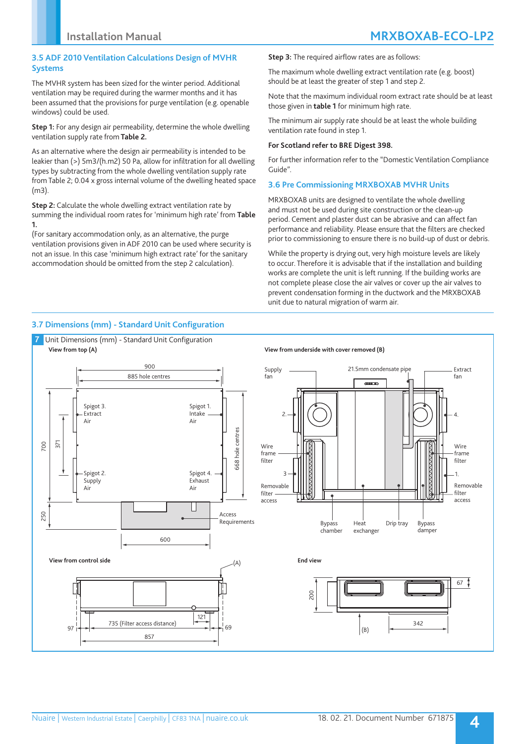### **3.5 ADF 2010 Ventilation Calculations Design of MVHR Systems**

The MVHR system has been sized for the winter period. Additional ventilation may be required during the warmer months and it has been assumed that the provisions for purge ventilation (e.g. openable windows) could be used.

**Step 1:** For any design air permeability, determine the whole dwelling ventilation supply rate from **Table 2.**

As an alternative where the design air permeability is intended to be leakier than (>) 5m3/(h.m2) 50 Pa, allow for infiltration for all dwelling types by subtracting from the whole dwelling ventilation supply rate from Table 2; 0.04 x gross internal volume of the dwelling heated space (m3).

**Step 2:** Calculate the whole dwelling extract ventilation rate by summing the individual room rates for 'minimum high rate' from **Table 1.** 

(For sanitary accommodation only, as an alternative, the purge ventilation provisions given in ADF 2010 can be used where security is not an issue. In this case 'minimum high extract rate' for the sanitary accommodation should be omitted from the step 2 calculation).

**Step 3:** The required airflow rates are as follows:

The maximum whole dwelling extract ventilation rate (e.g. boost) should be at least the greater of step 1 and step 2.

Note that the maximum individual room extract rate should be at least those given in **table 1** for minimum high rate.

The minimum air supply rate should be at least the whole building ventilation rate found in step 1.

### **For Scotland refer to BRE Digest 398.**

For further information refer to the "Domestic Ventilation Compliance Guide".

### **3.6 Pre Commissioning MRXBOXAB MVHR Units**

MRXBOXAB units are designed to ventilate the whole dwelling and must not be used during site construction or the clean-up period. Cement and plaster dust can be abrasive and can affect fan performance and reliability. Please ensure that the filters are checked prior to commissioning to ensure there is no build-up of dust or debris.

While the property is drying out, very high moisture levels are likely to occur. Therefore it is advisable that if the installation and building works are complete the unit is left running. If the building works are not complete please close the air valves or cover up the air valves to prevent condensation forming in the ductwork and the MRXBOXAB unit due to natural migration of warm air.

## **3.7 Dimensions (mm) - Standard Unit Configuration**

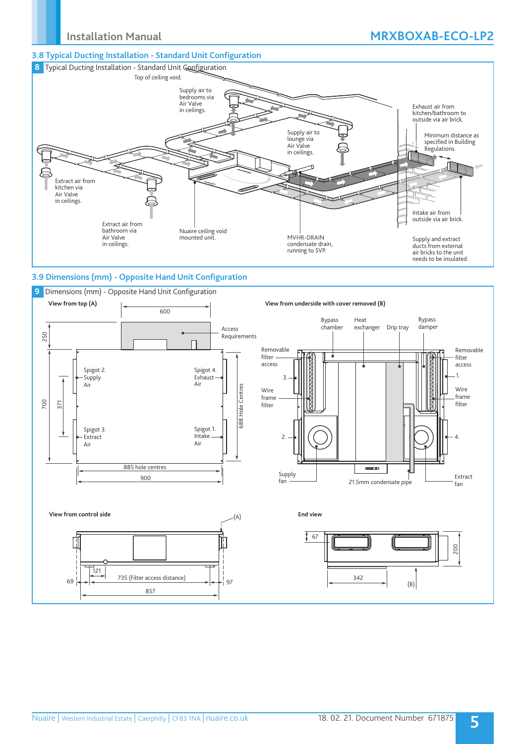## **3.8 Typical Ducting Installation - Standard Unit Configuration**



## **3.9 Dimensions (mm) - Opposite Hand Unit Configuration**

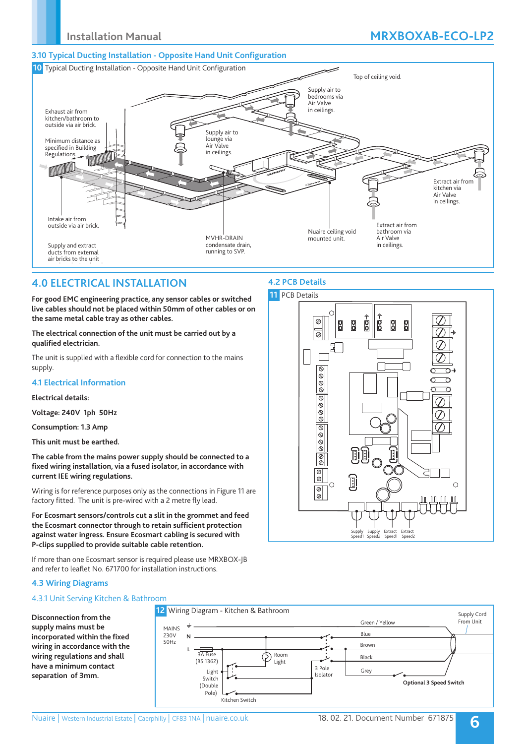# **Installation Manual MRXBOXAB-ECO-LP2**

### **3.10 Typical Ducting Installation - Opposite Hand Unit Configuration**



# **4.0 ELECTRICAL INSTALLATION**

**For good EMC engineering practice, any sensor cables or switched live cables should not be placed within 50mm of other cables or on the same metal cable tray as other cables.**

**The electrical connection of the unit must be carried out by a qualified electrician.** 

The unit is supplied with a flexible cord for connection to the mains supply.

### **4.1 Electrical Information**

### **Electrical details:**

**Voltage: 240V 1ph 50Hz**

**Consumption: 1.3 Amp** 

**This unit must be earthed.**

**The cable from the mains power supply should be connected to a fixed wiring installation, via a fused isolator, in accordance with current IEE wiring regulations.**

Wiring is for reference purposes only as the connections in Figure 11 are factory fitted. The unit is pre-wired with a 2 metre fly lead.

**For Ecosmart sensors/controls cut a slit in the grommet and feed the Ecosmart connector through to retain sufficient protection against water ingress. Ensure Ecosmart cabling is secured with P-clips supplied to provide suitable cable retention.** 

If more than one Ecosmart sensor is required please use MRXBOX-JB and refer to leaflet No. 671700 for installation instructions.

## **4.3 Wiring Diagrams**

## 4.3.1 Unit Serving Kitchen & Bathroom

**Disconnection from the supply mains must be incorporated within the fixed wiring in accordance with the wiring regulations and shall have a minimum contact separation of 3mm.**



# **4.2 PCB Details**

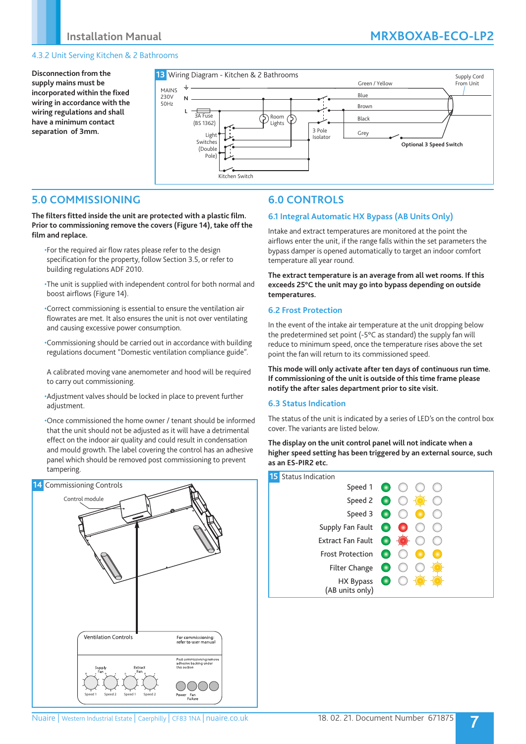# **Installation Manual MRXBOXAB-ECO-LP2**

## 4.3.2 Unit Serving Kitchen & 2 Bathrooms

**Disconnection from the supply mains must be incorporated within the fixed wiring in accordance with the wiring regulations and shall have a minimum contact separation of 3mm.**



# **5.0 COMMISSIONING**

**The filters fitted inside the unit are protected with a plastic film. Prior to commissioning remove the covers (Figure 14), take off the film and replace.**

- •For the required air flow rates please refer to the design specification for the property, follow Section 3.5, or refer to building regulations ADF 2010.
- •The unit is supplied with independent control for both normal and boost airflows (Figure 14).

•Correct commissioning is essential to ensure the ventilation air flowrates are met. It also ensures the unit is not over ventilating and causing excessive power consumption.

- •Commissioning should be carried out in accordance with building regulations document "Domestic ventilation compliance guide".
- A calibrated moving vane anemometer and hood will be required to carry out commissioning.
- •Adjustment valves should be locked in place to prevent further adjustment.

•Once commissioned the home owner / tenant should be informed that the unit should not be adjusted as it will have a detrimental effect on the indoor air quality and could result in condensation and mould growth. The label covering the control has an adhesive panel which should be removed post commissioning to prevent tampering.



# **6.0 CONTROLS**

### **6.1 Integral Automatic HX Bypass (AB Units Only)**

Intake and extract temperatures are monitored at the point the airflows enter the unit, if the range falls within the set parameters the bypass damper is opened automatically to target an indoor comfort temperature all year round.

**The extract temperature is an average from all wet rooms. If this exceeds 25°C the unit may go into bypass depending on outside temperatures.**

### **6.2 Frost Protection**

In the event of the intake air temperature at the unit dropping below the predetermined set point (-5°C as standard) the supply fan will reduce to minimum speed, once the temperature rises above the set point the fan will return to its commissioned speed.

**This mode will only activate after ten days of continuous run time. If commissioning of the unit is outside of this time frame please notify the after sales department prior to site visit.**

### **6.3 Status Indication**

The status of the unit is indicated by a series of LED's on the control box cover. The variants are listed below.

**The display on the unit control panel will not indicate when a higher speed setting has been triggered by an external source, such as an ES-PIR2 etc.**